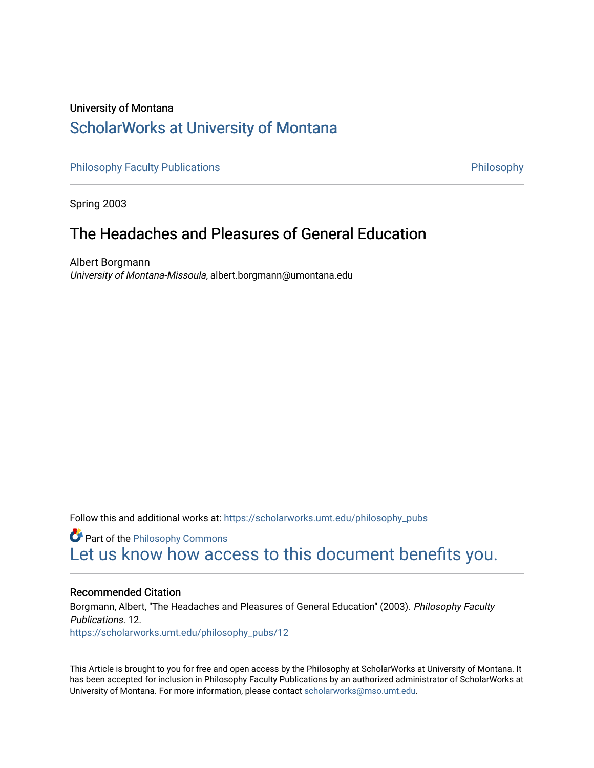## University of Montana [ScholarWorks at University of Montana](https://scholarworks.umt.edu/)

[Philosophy Faculty Publications](https://scholarworks.umt.edu/philosophy_pubs) **Philosophy** Philosophy

Spring 2003

## The Headaches and Pleasures of General Education

Albert Borgmann University of Montana-Missoula, albert.borgmann@umontana.edu

Follow this and additional works at: [https://scholarworks.umt.edu/philosophy\\_pubs](https://scholarworks.umt.edu/philosophy_pubs?utm_source=scholarworks.umt.edu%2Fphilosophy_pubs%2F12&utm_medium=PDF&utm_campaign=PDFCoverPages)

**Part of the Philosophy Commons** [Let us know how access to this document benefits you.](https://goo.gl/forms/s2rGfXOLzz71qgsB2) 

#### Recommended Citation

Borgmann, Albert, "The Headaches and Pleasures of General Education" (2003). Philosophy Faculty Publications. 12.

[https://scholarworks.umt.edu/philosophy\\_pubs/12](https://scholarworks.umt.edu/philosophy_pubs/12?utm_source=scholarworks.umt.edu%2Fphilosophy_pubs%2F12&utm_medium=PDF&utm_campaign=PDFCoverPages) 

This Article is brought to you for free and open access by the Philosophy at ScholarWorks at University of Montana. It has been accepted for inclusion in Philosophy Faculty Publications by an authorized administrator of ScholarWorks at University of Montana. For more information, please contact [scholarworks@mso.umt.edu.](mailto:scholarworks@mso.umt.edu)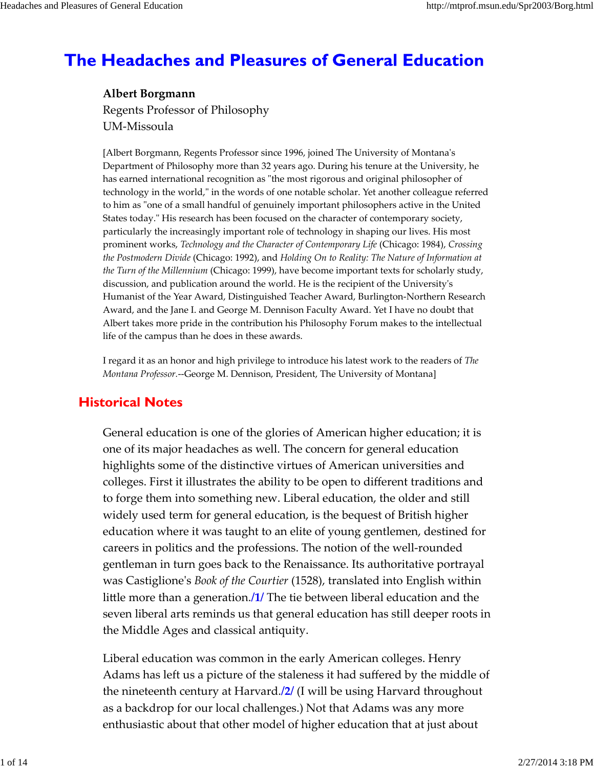# **The Headaches and Pleasures of General Education**

**Albert Borgmann** Regents Professor of Philosophy UM‐Missoula

[Albert Borgmann, Regents Professor since 1996, joined The University of Montanaʹs Department of Philosophy more than 32 years ago. During his tenure at the University, he has earned international recognition as "the most rigorous and original philosopher of technology in the world," in the words of one notable scholar. Yet another colleague referred to him as "one of a small handful of genuinely important philosophers active in the United States today." His research has been focused on the character of contemporary society, particularly the increasingly important role of technology in shaping our lives. His most prominent works, *Technology and the Character of Contemporary Life* (Chicago: 1984), *Crossing the Postmodern Divide* (Chicago: 1992), and *Holding On to Reality: The Nature of Information at the Turn of the Millennium* (Chicago: 1999), have become important texts for scholarly study, discussion, and publication around the world. He is the recipient of the Universityʹs Humanist of the Year Award, Distinguished Teacher Award, Burlington‐Northern Research Award, and the Jane I. and George M. Dennison Faculty Award. Yet I have no doubt that Albert takes more pride in the contribution his Philosophy Forum makes to the intellectual life of the campus than he does in these awards.

I regard it as an honor and high privilege to introduce his latest work to the readers of *The Montana Professor.*‐‐George M. Dennison, President, The University of Montana]

### **Historical Notes**

General education is one of the glories of American higher education; it is one of its major headaches as well. The concern for general education highlights some of the distinctive virtues of American universities and colleges. First it illustrates the ability to be open to different traditions and to forge them into something new. Liberal education, the older and still widely used term for general education, is the bequest of British higher education where it was taught to an elite of young gentlemen, destined for careers in politics and the professions. The notion of the well‐rounded gentleman in turn goes back to the Renaissance. Its authoritative portrayal was Castiglioneʹs *Book of the Courtier* (1528), translated into English within little more than a generation.**/1/** The tie between liberal education and the seven liberal arts reminds us that general education has still deeper roots in the Middle Ages and classical antiquity.

Liberal education was common in the early American colleges. Henry Adams has left us a picture of the staleness it had suffered by the middle of the nineteenth century at Harvard.**/2/** (I will be using Harvard throughout as a backdrop for our local challenges.) Not that Adams was any more enthusiastic about that other model of higher education that at just about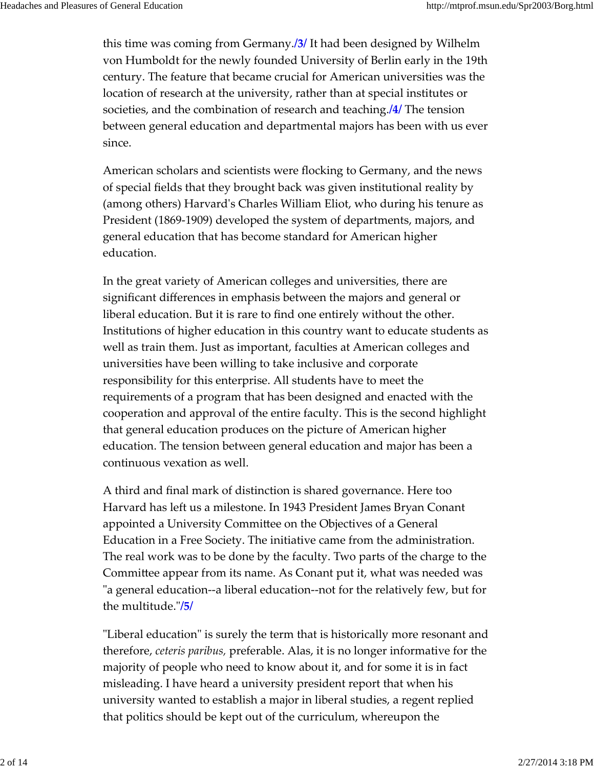this time was coming from Germany.**/3/** It had been designed by Wilhelm von Humboldt for the newly founded University of Berlin early in the 19th century. The feature that became crucial for American universities was the location of research at the university, rather than at special institutes or societies, and the combination of research and teaching.**/4/** The tension between general education and departmental majors has been with us ever since.

American scholars and scientists were flocking to Germany, and the news of special fields that they brought back was given institutional reality by (among others) Harvardʹs Charles William Eliot, who during his tenure as President (1869‐1909) developed the system of departments, majors, and general education that has become standard for American higher education.

In the great variety of American colleges and universities, there are significant differences in emphasis between the majors and general or liberal education. But it is rare to find one entirely without the other. Institutions of higher education in this country want to educate students as well as train them. Just as important, faculties at American colleges and universities have been willing to take inclusive and corporate responsibility for this enterprise. All students have to meet the requirements of a program that has been designed and enacted with the cooperation and approval of the entire faculty. This is the second highlight that general education produces on the picture of American higher education. The tension between general education and major has been a continuous vexation as well.

A third and final mark of distinction is shared governance. Here too Harvard has left us a milestone. In 1943 President James Bryan Conant appointed a University Committee on the Objectives of a General Education in a Free Society. The initiative came from the administration. The real work was to be done by the faculty. Two parts of the charge to the Committee appear from its name. As Conant put it, what was needed was "a general education--a liberal education--not for the relatively few, but for the multitude.ʺ**/5/**

"Liberal education" is surely the term that is historically more resonant and therefore, *ceteris paribus,* preferable. Alas, it is no longer informative for the majority of people who need to know about it, and for some it is in fact misleading. I have heard a university president report that when his university wanted to establish a major in liberal studies, a regent replied that politics should be kept out of the curriculum, whereupon the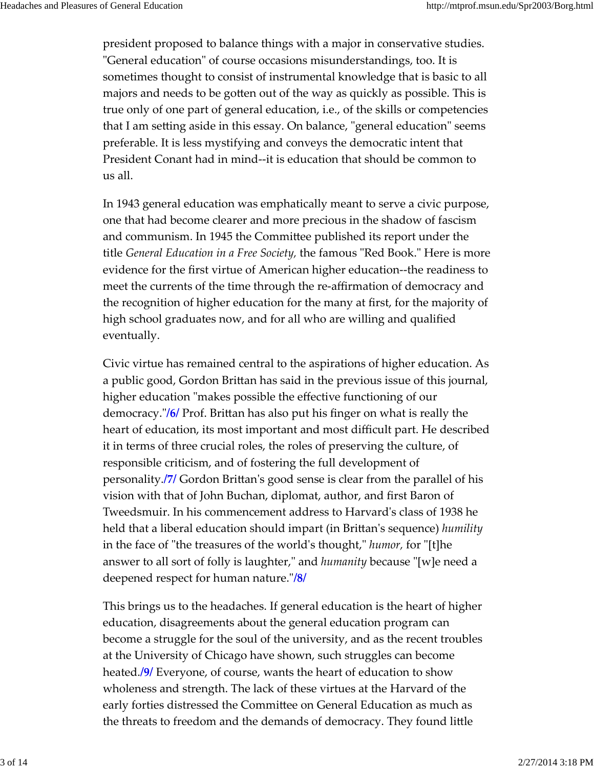president proposed to balance things with a major in conservative studies. ʺGeneral educationʺ of course occasions misunderstandings, too. It is sometimes thought to consist of instrumental knowledge that is basic to all majors and needs to be gotten out of the way as quickly as possible. This is true only of one part of general education, i.e., of the skills or competencies that I am setting aside in this essay. On balance, "general education" seems preferable. It is less mystifying and conveys the democratic intent that President Conant had in mind‐‐it is education that should be common to us all.

In 1943 general education was emphatically meant to serve a civic purpose, one that had become clearer and more precious in the shadow of fascism and communism. In 1945 the Committee published its report under the title *General Education in a Free Society,* the famous ʺRed Book.ʺ Here is more evidence for the first virtue of American higher education‐‐the readiness to meet the currents of the time through the re‐affirmation of democracy and the recognition of higher education for the many at first, for the majority of high school graduates now, and for all who are willing and qualified eventually.

Civic virtue has remained central to the aspirations of higher education. As a public good, Gordon Brittan has said in the previous issue of this journal, higher education "makes possible the effective functioning of our democracy.ʺ**/6/** Prof. Brittan has also put his finger on what is really the heart of education, its most important and most difficult part. He described it in terms of three crucial roles, the roles of preserving the culture, of responsible criticism, and of fostering the full development of personality.**/7/** Gordon Brittanʹs good sense is clear from the parallel of his vision with that of John Buchan, diplomat, author, and first Baron of Tweedsmuir. In his commencement address to Harvardʹs class of 1938 he held that a liberal education should impart (in Brittanʹs sequence) *humility* in the face of "the treasures of the world's thought," *humor*, for "[t]he answer to all sort of folly is laughter," and *humanity* because "[w]e need a deepened respect for human nature.ʺ**/8/**

This brings us to the headaches. If general education is the heart of higher education, disagreements about the general education program can become a struggle for the soul of the university, and as the recent troubles at the University of Chicago have shown, such struggles can become heated.**/9/** Everyone, of course, wants the heart of education to show wholeness and strength. The lack of these virtues at the Harvard of the early forties distressed the Committee on General Education as much as the threats to freedom and the demands of democracy. They found little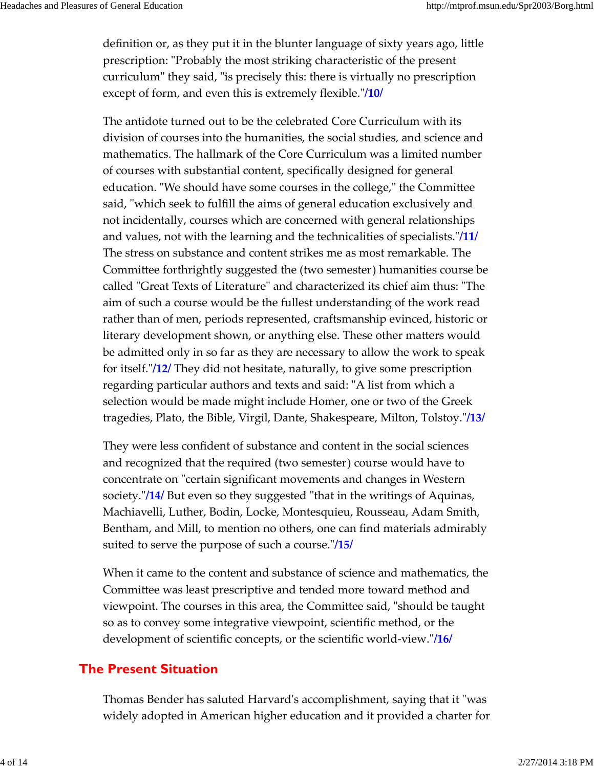definition or, as they put it in the blunter language of sixty years ago, little prescription: "Probably the most striking characteristic of the present curriculum" they said, "is precisely this: there is virtually no prescription except of form, and even this is extremely flexible."/10/

The antidote turned out to be the celebrated Core Curriculum with its division of courses into the humanities, the social studies, and science and mathematics. The hallmark of the Core Curriculum was a limited number of courses with substantial content, specifically designed for general education. "We should have some courses in the college," the Committee said, "which seek to fulfill the aims of general education exclusively and not incidentally, courses which are concerned with general relationships and values, not with the learning and the technicalities of specialists.<sup>"</sup>/11/ The stress on substance and content strikes me as most remarkable. The Committee forthrightly suggested the (two semester) humanities course be called "Great Texts of Literature" and characterized its chief aim thus: "The aim of such a course would be the fullest understanding of the work read rather than of men, periods represented, craftsmanship evinced, historic or literary development shown, or anything else. These other matters would be admitted only in so far as they are necessary to allow the work to speak for itself.ʺ**/12/** They did not hesitate, naturally, to give some prescription regarding particular authors and texts and said: "A list from which a selection would be made might include Homer, one or two of the Greek tragedies, Plato, the Bible, Virgil, Dante, Shakespeare, Milton, Tolstoy."/13/

They were less confident of substance and content in the social sciences and recognized that the required (two semester) course would have to concentrate on "certain significant movements and changes in Western society.<sup>"</sup>/14/ But even so they suggested "that in the writings of Aquinas, Machiavelli, Luther, Bodin, Locke, Montesquieu, Rousseau, Adam Smith, Bentham, and Mill, to mention no others, one can find materials admirably suited to serve the purpose of such a course."/**15/** 

When it came to the content and substance of science and mathematics, the Committee was least prescriptive and tended more toward method and viewpoint. The courses in this area, the Committee said, "should be taught so as to convey some integrative viewpoint, scientific method, or the development of scientific concepts, or the scientific world-view."/16/

### **The Present Situation**

Thomas Bender has saluted Harvard's accomplishment, saying that it "was widely adopted in American higher education and it provided a charter for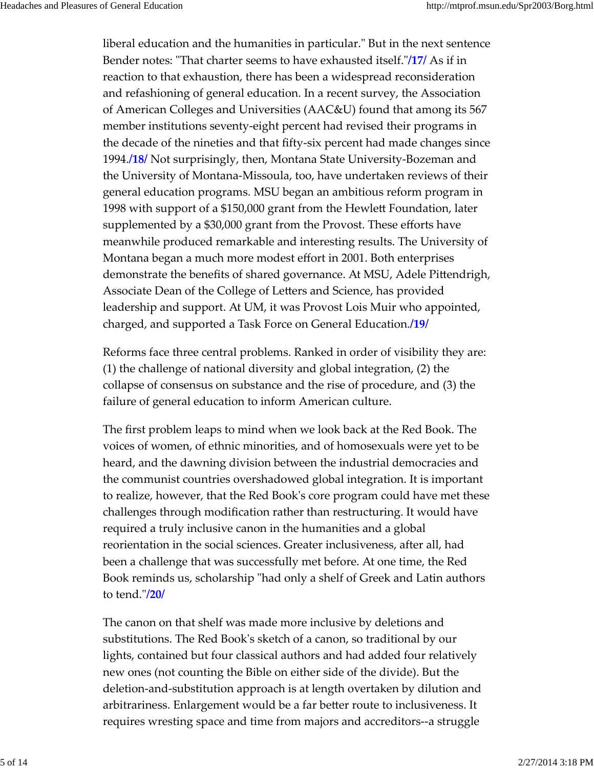liberal education and the humanities in particular." But in the next sentence Bender notes: "That charter seems to have exhausted itself."/17/ As if in reaction to that exhaustion, there has been a widespread reconsideration and refashioning of general education. In a recent survey, the Association of American Colleges and Universities (AAC&U) found that among its 567 member institutions seventy‐eight percent had revised their programs in the decade of the nineties and that fifty‐six percent had made changes since 1994.**/18/** Not surprisingly, then, Montana State University‐Bozeman and the University of Montana‐Missoula, too, have undertaken reviews of their general education programs. MSU began an ambitious reform program in 1998 with support of a \$150,000 grant from the Hewlett Foundation, later supplemented by a \$30,000 grant from the Provost. These efforts have meanwhile produced remarkable and interesting results. The University of Montana began a much more modest effort in 2001. Both enterprises demonstrate the benefits of shared governance. At MSU, Adele Pittendrigh, Associate Dean of the College of Letters and Science, has provided leadership and support. At UM, it was Provost Lois Muir who appointed, charged, and supported a Task Force on General Education.**/19/**

Reforms face three central problems. Ranked in order of visibility they are: (1) the challenge of national diversity and global integration, (2) the collapse of consensus on substance and the rise of procedure, and (3) the failure of general education to inform American culture.

The first problem leaps to mind when we look back at the Red Book. The voices of women, of ethnic minorities, and of homosexuals were yet to be heard, and the dawning division between the industrial democracies and the communist countries overshadowed global integration. It is important to realize, however, that the Red Bookʹs core program could have met these challenges through modification rather than restructuring. It would have required a truly inclusive canon in the humanities and a global reorientation in the social sciences. Greater inclusiveness, after all, had been a challenge that was successfully met before. At one time, the Red Book reminds us, scholarship "had only a shelf of Greek and Latin authors to tend.ʺ**/20/**

The canon on that shelf was made more inclusive by deletions and substitutions. The Red Bookʹs sketch of a canon, so traditional by our lights, contained but four classical authors and had added four relatively new ones (not counting the Bible on either side of the divide). But the deletion‐and‐substitution approach is at length overtaken by dilution and arbitrariness. Enlargement would be a far better route to inclusiveness. It requires wresting space and time from majors and accreditors‐‐a struggle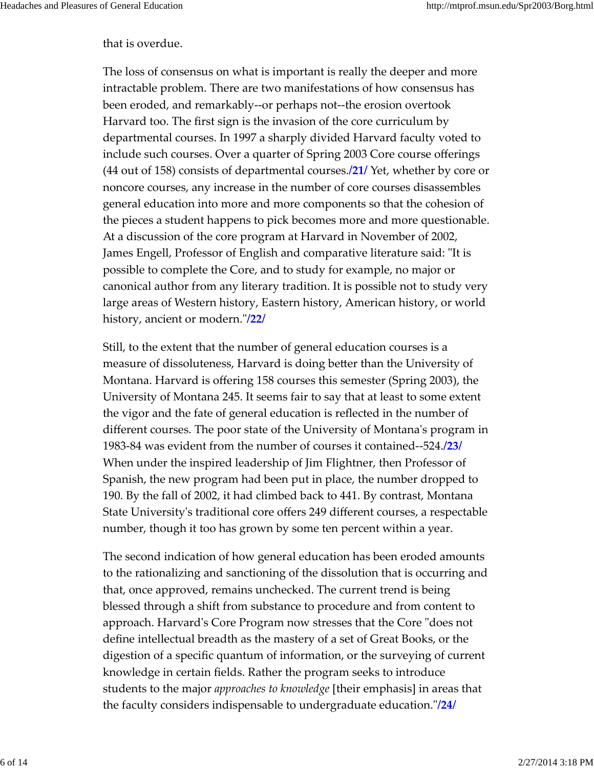#### that is overdue.

The loss of consensus on what is important is really the deeper and more intractable problem. There are two manifestations of how consensus has been eroded, and remarkably‐‐or perhaps not‐‐the erosion overtook Harvard too. The first sign is the invasion of the core curriculum by departmental courses. In 1997 a sharply divided Harvard faculty voted to include such courses. Over a quarter of Spring 2003 Core course offerings (44 out of 158) consists of departmental courses.**/21/** Yet, whether by core or noncore courses, any increase in the number of core courses disassembles general education into more and more components so that the cohesion of the pieces a student happens to pick becomes more and more questionable. At a discussion of the core program at Harvard in November of 2002, James Engell, Professor of English and comparative literature said: "It is possible to complete the Core, and to study for example, no major or canonical author from any literary tradition. It is possible not to study very large areas of Western history, Eastern history, American history, or world history, ancient or modern.<sup>"</sup>/22/

Still, to the extent that the number of general education courses is a measure of dissoluteness, Harvard is doing better than the University of Montana. Harvard is offering 158 courses this semester (Spring 2003), the University of Montana 245. It seems fair to say that at least to some extent the vigor and the fate of general education is reflected in the number of different courses. The poor state of the University of Montana's program in 1983‐84 was evident from the number of courses it contained‐‐524.**/23/** When under the inspired leadership of Jim Flightner, then Professor of Spanish, the new program had been put in place, the number dropped to 190. By the fall of 2002, it had climbed back to 441. By contrast, Montana State Universityʹs traditional core offers 249 different courses, a respectable number, though it too has grown by some ten percent within a year.

The second indication of how general education has been eroded amounts to the rationalizing and sanctioning of the dissolution that is occurring and that, once approved, remains unchecked. The current trend is being blessed through a shift from substance to procedure and from content to approach. Harvard's Core Program now stresses that the Core "does not define intellectual breadth as the mastery of a set of Great Books, or the digestion of a specific quantum of information, or the surveying of current knowledge in certain fields. Rather the program seeks to introduce students to the major *approaches to knowledge* [their emphasis] in areas that the faculty considers indispensable to undergraduate education.ʺ**/24/**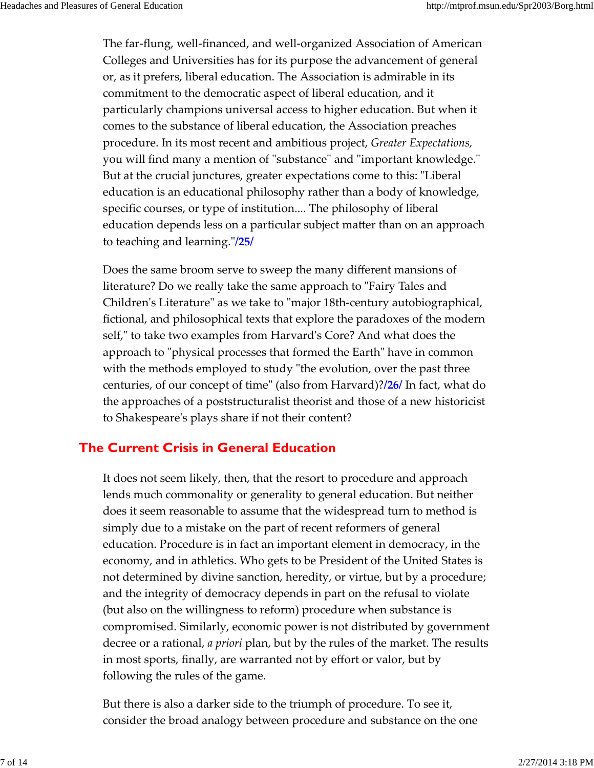The far‐flung, well‐financed, and well‐organized Association of American Colleges and Universities has for its purpose the advancement of general or, as it prefers, liberal education. The Association is admirable in its commitment to the democratic aspect of liberal education, and it particularly champions universal access to higher education. But when it comes to the substance of liberal education, the Association preaches procedure. In its most recent and ambitious project, *Greater Expectations,* you will find many a mention of "substance" and "important knowledge." But at the crucial junctures, greater expectations come to this: "Liberal education is an educational philosophy rather than a body of knowledge, specific courses, or type of institution.... The philosophy of liberal education depends less on a particular subject matter than on an approach to teaching and learning.ʺ**/25/**

Does the same broom serve to sweep the many different mansions of literature? Do we really take the same approach to "Fairy Tales and Children's Literature" as we take to "major 18th-century autobiographical, fictional, and philosophical texts that explore the paradoxes of the modern self," to take two examples from Harvard's Core? And what does the approach to "physical processes that formed the Earth" have in common with the methods employed to study "the evolution, over the past three centuries, of our concept of timeʺ (also from Harvard)?**/26/** In fact, what do the approaches of a poststructuralist theorist and those of a new historicist to Shakespeareʹs plays share if not their content?

### **The Current Crisis in General Education**

It does not seem likely, then, that the resort to procedure and approach lends much commonality or generality to general education. But neither does it seem reasonable to assume that the widespread turn to method is simply due to a mistake on the part of recent reformers of general education. Procedure is in fact an important element in democracy, in the economy, and in athletics. Who gets to be President of the United States is not determined by divine sanction, heredity, or virtue, but by a procedure; and the integrity of democracy depends in part on the refusal to violate (but also on the willingness to reform) procedure when substance is compromised. Similarly, economic power is not distributed by government decree or a rational, *a priori* plan, but by the rules of the market. The results in most sports, finally, are warranted not by effort or valor, but by following the rules of the game.

But there is also a darker side to the triumph of procedure. To see it, consider the broad analogy between procedure and substance on the one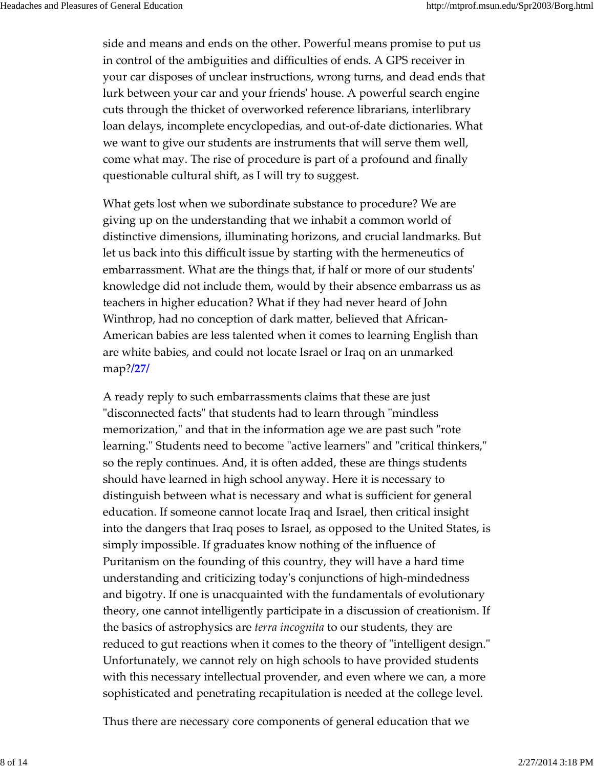side and means and ends on the other. Powerful means promise to put us in control of the ambiguities and difficulties of ends. A GPS receiver in your car disposes of unclear instructions, wrong turns, and dead ends that lurk between your car and your friendsʹ house. A powerful search engine cuts through the thicket of overworked reference librarians, interlibrary loan delays, incomplete encyclopedias, and out‐of‐date dictionaries. What we want to give our students are instruments that will serve them well, come what may. The rise of procedure is part of a profound and finally questionable cultural shift, as I will try to suggest.

What gets lost when we subordinate substance to procedure? We are giving up on the understanding that we inhabit a common world of distinctive dimensions, illuminating horizons, and crucial landmarks. But let us back into this difficult issue by starting with the hermeneutics of embarrassment. What are the things that, if half or more of our studentsʹ knowledge did not include them, would by their absence embarrass us as teachers in higher education? What if they had never heard of John Winthrop, had no conception of dark matter, believed that African‐ American babies are less talented when it comes to learning English than are white babies, and could not locate Israel or Iraq on an unmarked map?**/27/**

A ready reply to such embarrassments claims that these are just "disconnected facts" that students had to learn through "mindless memorization," and that in the information age we are past such "rote learning." Students need to become "active learners" and "critical thinkers," so the reply continues. And, it is often added, these are things students should have learned in high school anyway. Here it is necessary to distinguish between what is necessary and what is sufficient for general education. If someone cannot locate Iraq and Israel, then critical insight into the dangers that Iraq poses to Israel, as opposed to the United States, is simply impossible. If graduates know nothing of the influence of Puritanism on the founding of this country, they will have a hard time understanding and criticizing todayʹs conjunctions of high‐mindedness and bigotry. If one is unacquainted with the fundamentals of evolutionary theory, one cannot intelligently participate in a discussion of creationism. If the basics of astrophysics are *terra incognita* to our students, they are reduced to gut reactions when it comes to the theory of "intelligent design." Unfortunately, we cannot rely on high schools to have provided students with this necessary intellectual provender, and even where we can, a more sophisticated and penetrating recapitulation is needed at the college level.

Thus there are necessary core components of general education that we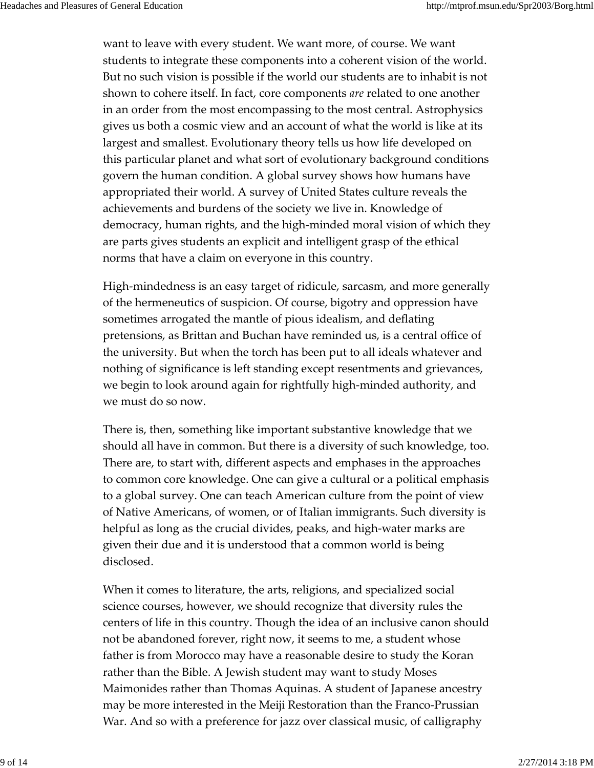want to leave with every student. We want more, of course. We want students to integrate these components into a coherent vision of the world. But no such vision is possible if the world our students are to inhabit is not shown to cohere itself. In fact, core components *are* related to one another in an order from the most encompassing to the most central. Astrophysics gives us both a cosmic view and an account of what the world is like at its largest and smallest. Evolutionary theory tells us how life developed on this particular planet and what sort of evolutionary background conditions govern the human condition. A global survey shows how humans have appropriated their world. A survey of United States culture reveals the achievements and burdens of the society we live in. Knowledge of democracy, human rights, and the high‐minded moral vision of which they are parts gives students an explicit and intelligent grasp of the ethical norms that have a claim on everyone in this country.

High‐mindedness is an easy target of ridicule, sarcasm, and more generally of the hermeneutics of suspicion. Of course, bigotry and oppression have sometimes arrogated the mantle of pious idealism, and deflating pretensions, as Brittan and Buchan have reminded us, is a central office of the university. But when the torch has been put to all ideals whatever and nothing of significance is left standing except resentments and grievances, we begin to look around again for rightfully high-minded authority, and we must do so now.

There is, then, something like important substantive knowledge that we should all have in common. But there is a diversity of such knowledge, too. There are, to start with, different aspects and emphases in the approaches to common core knowledge. One can give a cultural or a political emphasis to a global survey. One can teach American culture from the point of view of Native Americans, of women, or of Italian immigrants. Such diversity is helpful as long as the crucial divides, peaks, and high‐water marks are given their due and it is understood that a common world is being disclosed.

When it comes to literature, the arts, religions, and specialized social science courses, however, we should recognize that diversity rules the centers of life in this country. Though the idea of an inclusive canon should not be abandoned forever, right now, it seems to me, a student whose father is from Morocco may have a reasonable desire to study the Koran rather than the Bible. A Jewish student may want to study Moses Maimonides rather than Thomas Aquinas. A student of Japanese ancestry may be more interested in the Meiji Restoration than the Franco‐Prussian War. And so with a preference for jazz over classical music, of calligraphy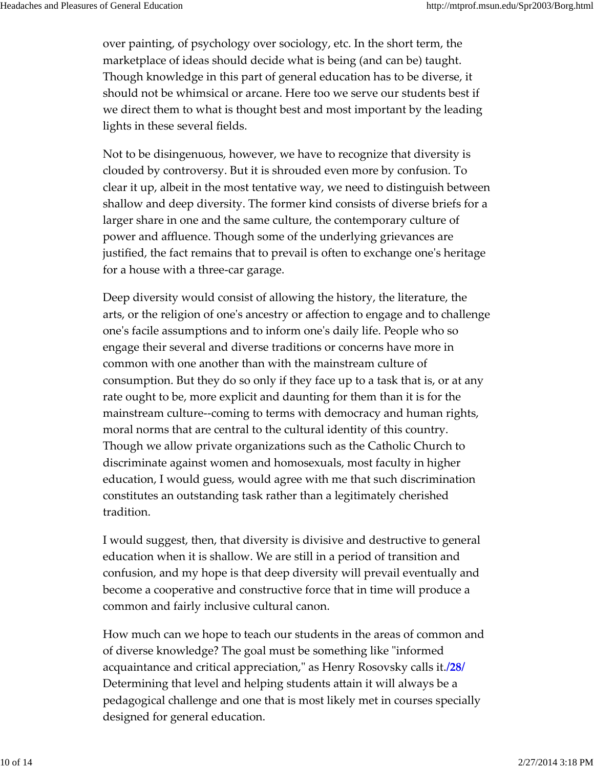over painting, of psychology over sociology, etc. In the short term, the marketplace of ideas should decide what is being (and can be) taught. Though knowledge in this part of general education has to be diverse, it should not be whimsical or arcane. Here too we serve our students best if we direct them to what is thought best and most important by the leading lights in these several fields.

Not to be disingenuous, however, we have to recognize that diversity is clouded by controversy. But it is shrouded even more by confusion. To clear it up, albeit in the most tentative way, we need to distinguish between shallow and deep diversity. The former kind consists of diverse briefs for a larger share in one and the same culture, the contemporary culture of power and affluence. Though some of the underlying grievances are justified, the fact remains that to prevail is often to exchange oneʹs heritage for a house with a three‐car garage.

Deep diversity would consist of allowing the history, the literature, the arts, or the religion of oneʹs ancestry or affection to engage and to challenge oneʹs facile assumptions and to inform oneʹs daily life. People who so engage their several and diverse traditions or concerns have more in common with one another than with the mainstream culture of consumption. But they do so only if they face up to a task that is, or at any rate ought to be, more explicit and daunting for them than it is for the mainstream culture--coming to terms with democracy and human rights, moral norms that are central to the cultural identity of this country. Though we allow private organizations such as the Catholic Church to discriminate against women and homosexuals, most faculty in higher education, I would guess, would agree with me that such discrimination constitutes an outstanding task rather than a legitimately cherished tradition.

I would suggest, then, that diversity is divisive and destructive to general education when it is shallow. We are still in a period of transition and confusion, and my hope is that deep diversity will prevail eventually and become a cooperative and constructive force that in time will produce a common and fairly inclusive cultural canon.

How much can we hope to teach our students in the areas of common and of diverse knowledge? The goal must be something like "informed" acquaintance and critical appreciation,ʺ as Henry Rosovsky calls it.**/28/** Determining that level and helping students attain it will always be a pedagogical challenge and one that is most likely met in courses specially designed for general education.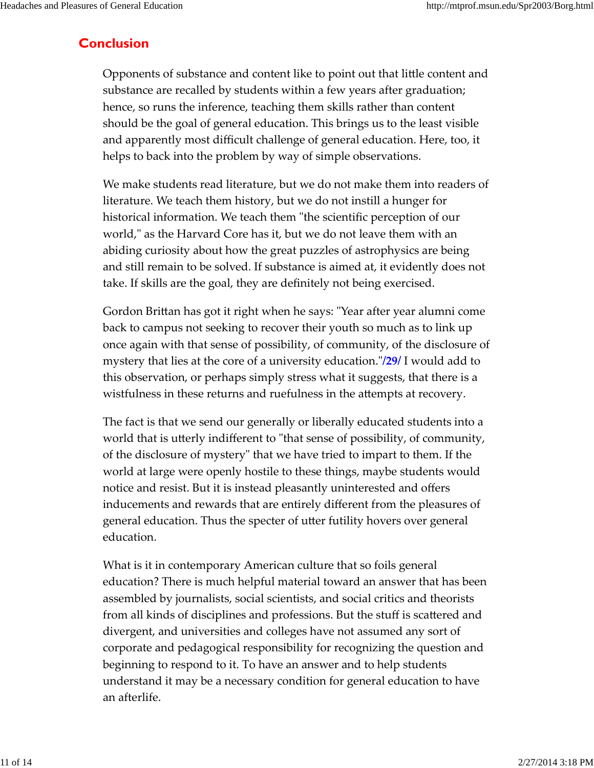## **Conclusion**

Opponents of substance and content like to point out that little content and substance are recalled by students within a few years after graduation; hence, so runs the inference, teaching them skills rather than content should be the goal of general education. This brings us to the least visible and apparently most difficult challenge of general education. Here, too, it helps to back into the problem by way of simple observations.

We make students read literature, but we do not make them into readers of literature. We teach them history, but we do not instill a hunger for historical information. We teach them "the scientific perception of our world," as the Harvard Core has it, but we do not leave them with an abiding curiosity about how the great puzzles of astrophysics are being and still remain to be solved. If substance is aimed at, it evidently does not take. If skills are the goal, they are definitely not being exercised.

Gordon Brittan has got it right when he says: "Year after year alumni come back to campus not seeking to recover their youth so much as to link up once again with that sense of possibility, of community, of the disclosure of mystery that lies at the core of a university education.ʺ**/29/** I would add to this observation, or perhaps simply stress what it suggests, that there is a wistfulness in these returns and ruefulness in the attempts at recovery.

The fact is that we send our generally or liberally educated students into a world that is utterly indifferent to "that sense of possibility, of community, of the disclosure of mysteryʺ that we have tried to impart to them. If the world at large were openly hostile to these things, maybe students would notice and resist. But it is instead pleasantly uninterested and offers inducements and rewards that are entirely different from the pleasures of general education. Thus the specter of utter futility hovers over general education.

What is it in contemporary American culture that so foils general education? There is much helpful material toward an answer that has been assembled by journalists, social scientists, and social critics and theorists from all kinds of disciplines and professions. But the stuff is scattered and divergent, and universities and colleges have not assumed any sort of corporate and pedagogical responsibility for recognizing the question and beginning to respond to it. To have an answer and to help students understand it may be a necessary condition for general education to have an afterlife.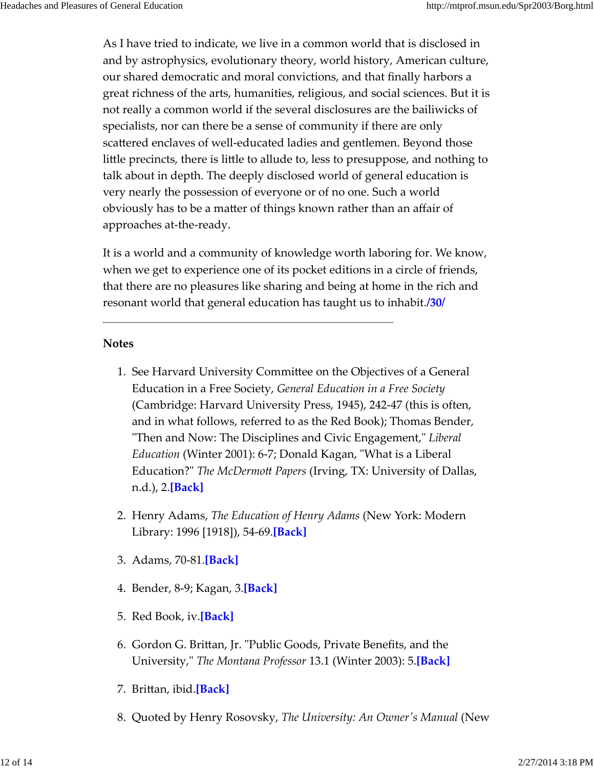As I have tried to indicate, we live in a common world that is disclosed in and by astrophysics, evolutionary theory, world history, American culture, our shared democratic and moral convictions, and that finally harbors a great richness of the arts, humanities, religious, and social sciences. But it is not really a common world if the several disclosures are the bailiwicks of specialists, nor can there be a sense of community if there are only scattered enclaves of well-educated ladies and gentlemen. Beyond those little precincts, there is little to allude to, less to presuppose, and nothing to talk about in depth. The deeply disclosed world of general education is very nearly the possession of everyone or of no one. Such a world obviously has to be a matter of things known rather than an affair of approaches at‐the‐ready.

It is a world and a community of knowledge worth laboring for. We know, when we get to experience one of its pocket editions in a circle of friends, that there are no pleasures like sharing and being at home in the rich and resonant world that general education has taught us to inhabit.**/30/**

#### **Notes**

- 1. See Harvard University Committee on the Objectives of a General Education in a Free Society, *General Education in a Free Society* (Cambridge: Harvard University Press, 1945), 242‐47 (this is often, and in what follows, referred to as the Red Book); Thomas Bender, "Then and Now: The Disciplines and Civic Engagement," Liberal *Education* (Winter 2001): 6-7; Donald Kagan, "What is a Liberal Education?ʺ *The McDermott Papers* (Irving, TX: University of Dallas, n.d.), 2.**[Back]**
- Henry Adams, *The Education of Henry Adams* (New York: Modern 2. Library: 1996 [1918]), 54‐69.**[Back]**
- 3. Adams, 70‐81.**[Back]**
- 4. Bender, 8‐9; Kagan, 3.**[Back]**
- 5. Red Book, iv.**[Back]**
- 6. Gordon G. Brittan, Jr. "Public Goods, Private Benefits, and the University,ʺ *The Montana Professor* 13.1 (Winter 2003): 5.**[Back]**
- 7. Brittan, ibid.**[Back]**
- 8. Quoted by Henry Rosovsky, *The University: An Ownerʹs Manual* (New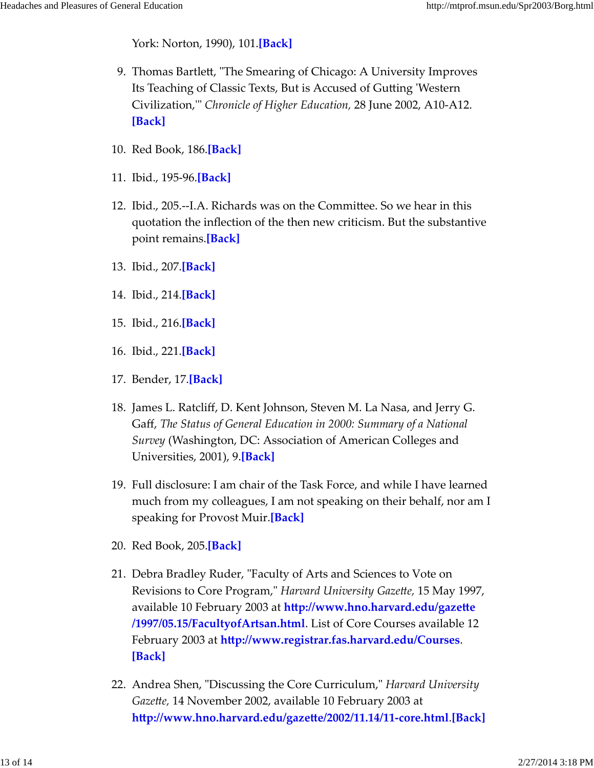York: Norton, 1990), 101.**[Back]**

- 9. Thomas Bartlett, "The Smearing of Chicago: A University Improves Its Teaching of Classic Texts, But is Accused of Gutting ʹWestern Civilization,ʹʺ *Chronicle of Higher Education,* 28 June 2002, A10‐A12. **[Back]**
- 10. Red Book, 186.**[Back]**
- 11. Ibid., 195‐96.**[Back]**
- 12. Ibid., 205.--I.A. Richards was on the Committee. So we hear in this quotation the inflection of the then new criticism. But the substantive point remains.**[Back]**
- 13. Ibid., 207.**[Back]**
- 14. Ibid., 214.**[Back]**
- 15. Ibid., 216.**[Back]**
- 16. Ibid., 221.**[Back]**
- 17. Bender, 17.**[Back]**
- James L. Ratcliff, D. Kent Johnson, Steven M. La Nasa, and Jerry G. 18. Gaff, *The Status of General Education in 2000: Summary of a National Survey* (Washington, DC: Association of American Colleges and Universities, 2001), 9.**[Back]**
- Full disclosure: I am chair of the Task Force, and while I have learned 19. much from my colleagues, I am not speaking on their behalf, nor am I speaking for Provost Muir.**[Back]**
- 20. Red Book, 205.**[Back]**
- 21. Debra Bradley Ruder, "Faculty of Arts and Sciences to Vote on Revisions to Core Program,ʺ *Harvard University Gazette,* 15 May 1997, available 10 February 2003 at **http://www.hno.harvard.edu/gazette /1997/05.15/FacultyofArtsan.html**. List of Core Courses available 12 February 2003 at **http://www.registrar.fas.harvard.edu/Courses**. **[Back]**
- 22. Andrea Shen, "Discussing the Core Curriculum," *Harvard University Gazette,* 14 November 2002, available 10 February 2003 at **http://www.hno.harvard.edu/gazette/2002/11.14/11‐core.html**.**[Back]**